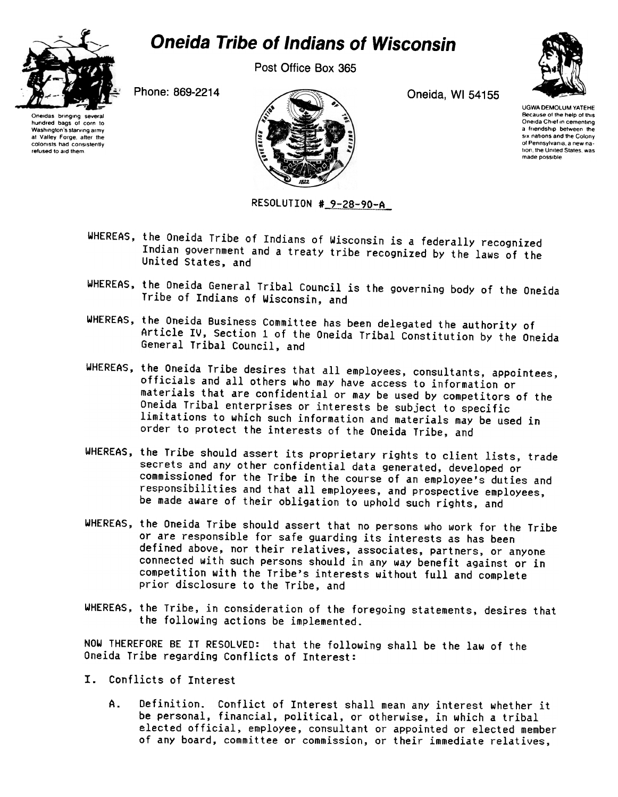

## Oneida Tribe of Indians of Wisconsin

Post Office Box 365

Oneidas bringing several hundred bags 01 corn to Washington's starving army at Valley Forge, after the colomsts had consistently refused to aid them



RESOLUTION # 9-28-90-A

UGWA DEMOLUM YATEHE Because of the help of this Oneida Chief in cementing a friendship between the six nations and the Colony of Pennsylvania, a new na tion, the United States, was made possible

- WHEREAS, the Oneida Tribe of Indians of Wisconsin is a federally recognized Indian government and a treaty tribe recognized by the laws of the United States, and
- WHEREAS, the Oneida General Tribal Council is the governing body of the Oneida Tribe of Indians of Wisconsin, and
- WHEREAS, the Oneida Business Committee has been delegated the authority of Article IV, Section 1 of the Oneida Tribal Constitution by the Oneida General Tribal Council, and
- WHEREAS, the Oneida Tribe desires that all employees, consultants, appointees, officials and all others who may have access to information or materials that are confidential or may be used by competitors of the Oneida Tribal enterprises or interests be subject to specific limitations to which such information and materials may be used in order to protect the interests of the Oneida Tribe, and
- WHEREAS, the Tribe should assert its proprietary rights to client lists, trade secrets and any other confidential data generated, developed or commissioned for the Tribe in the course of an employee's duties and responsibilities and that all employees, and prospective employees, be made aware of their obligation to uphold such rights, and
- WHEREAS, the Oneida Tribe should assert that no persons who work for the Tribe or are responsible for safe guarding its interests as has been defined above, nor their relatives, associates, partners, or anyone connected with such persons should in any way benefit against or in competition with the Tribe's interests without full and complete prior disclosure to the Tribe, and
- WHEREAS, the Tribe, in consideration of the foregoing statements, desires that the following actions be implemented.

NOW THEREFORE BE IT RESOLVED: that the following shall be the law of the Oneida Tribe regarding Conflicts of Interest:

- I. Conflicts of Interest
	- A. Definition. Conflict of Interest shall mean any interest whether it be personal, financial, political, or otherwise, in which a tribal elected official, employee, consultant or appointed or elected member of any board, committee or commission, or their immediate relatives,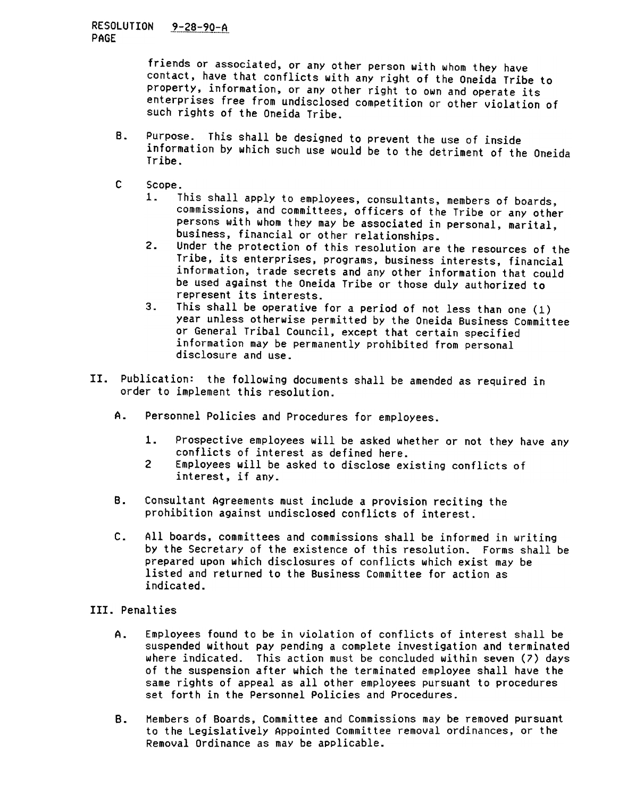## <u>RESOLUTION 9-28-90-A</u> PAGE

friends or associated, or any other person with whom they have contact, have that conflicts with any right of the Oneida Tribe to property, information, or any other right to own and operate its enterprises free from undisclosed competition or other violation of such rights of the Oneida Tribe.

- B. Purpose. This shall be designed to prevent the use of inside information by which such use would be to the detriment of the Oneida Tribe.
- $C$  Scope.<br>1.  $I$ 
	- This shall apply to employees, consultants, members of boards, commissions, and committees, officers of the Tribe or any other persons with whom they may be associated in personal, marital, business, financial or other relationships.
	- $2.$ Under the protection of this resolution are the resources of the Tribe, its enterprises, programs, business interests, financial information, trade secrets and any other information that could be used against the Oneida Tribe or those duly authorized to represent its interests.
	- $3<sub>1</sub>$ This shall be operative for a period of not less than one (1) year unless otherwise permitted by the Oneida Business Committee or General Tribal Council, except that certain specified information may be permanently prohibited from personal disclosure and use.
- II. Publication: the following documents shall be amended as required in order to implement this resolution.
	- A. Personnel Policies and Procedures for employees.
		- $1.$ Prospective employees will be asked whether or not they have any conflicts of interest as defined here.
		- Employees will be asked to disclose existing conflicts of interest, if any.
	- B. Consultant Agreements must include a provision reciting the prohibition against undisclosed conflicts of interest.
	- c. All boards, committees and commissions shall be informed in writing by the Secretary of the existence of this resolution. Forms shall be prepared upon which disclosures of conflicts which exist may be listed and returned to the Business Committee for action as indicated.
- III. Penalties
- 8. C<br>
8. C<br>
C. A<br>
b<br>
p<br>
1<br>
III. Penal<br>
A. E<br>
s<br>
8. K<br>
8. M<br>
1<br>
R A. Employees found to be in violation of conflicts of interest shall be suspended without pay pending a complete investigation and terminated where indicated. This action must be concluded within seven (7) days of the suspension after which the terminated employee shall have the same rights of appeal as all other employees pursuant to procedures set forth in the Personnel Policies and Procedures.
	- Members of Boards, Committee and Commissions may be removed pursuant to the Legislatively Appointed Committee removal ordinances, or the Removal Ordinance as may be applicable. B.